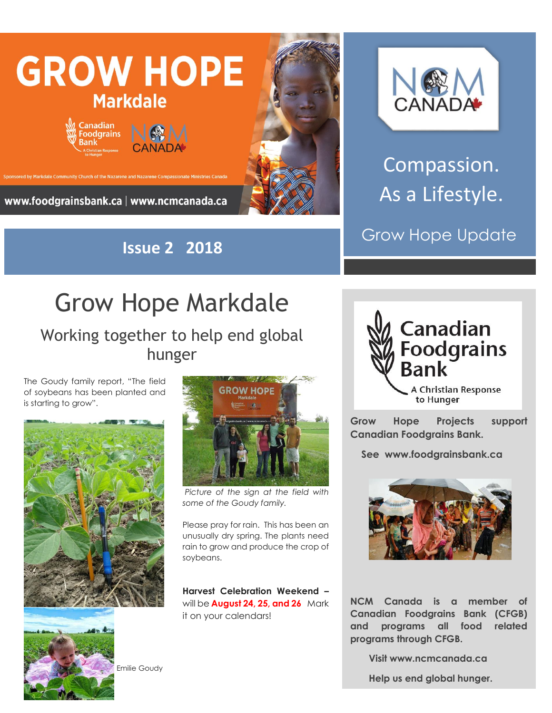

**Issue 2 2018**



Compassion. As a Lifestyle.

Grow Hope Update

## Grow Hope Markdale

Working together to help end global hunger

The Goudy family report, "The field of soybeans has been planted and is starting to grow".





*Picture of the sign at the field with some of the Goudy family.*

Please pray for rain. This has been an unusually dry spring. The plants need rain to grow and produce the crop of soybeans.

**Harvest Celebration Weekend –** will be **August 24, 25, and 26** Mark it on your calendars!



**Grow Hope Projects support Canadian Foodgrains Bank.** 

 **See www.foodgrainsbank.ca**



**NCM Canada is a member of Canadian Foodgrains Bank (CFGB) and programs all food related programs through CFGB.**

 **Visit www.ncmcanada.ca**

 **Help us end global hunger.**

Emilie Goudy